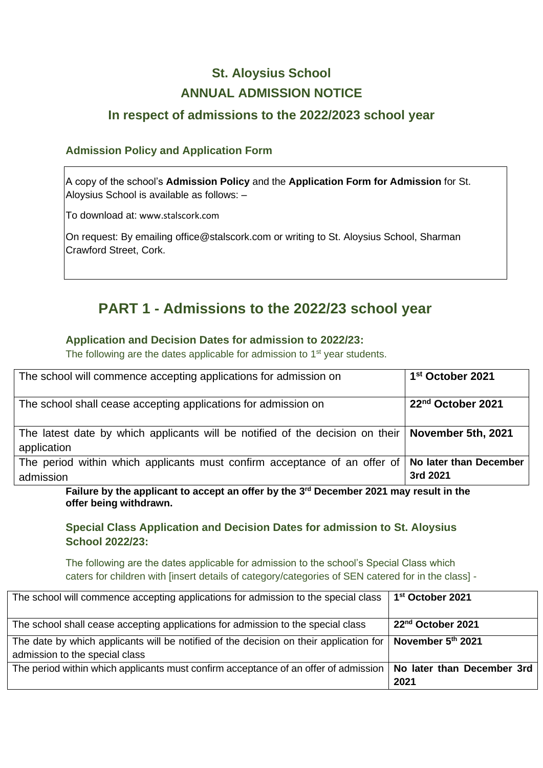# **St. Aloysius School ANNUAL ADMISSION NOTICE**

### **In respect of admissions to the 2022/2023 school year**

#### **Admission Policy and Application Form**

A copy of the school's **Admission Policy** and the **Application Form for Admission** for St. Aloysius School is available as follows: –

To download at: www.stalscork.com

On request: By emailing office@stalscork.com or writing to St. Aloysius School, Sharman Crawford Street, Cork.

## **PART 1 - Admissions to the 2022/23 school year**

#### **Application and Decision Dates for admission to 2022/23:**

The following are the dates applicable for admission to 1<sup>st</sup> year students.

| The school will commence accepting applications for admission on                                                  | 1 <sup>st</sup> October 2021       |
|-------------------------------------------------------------------------------------------------------------------|------------------------------------|
| The school shall cease accepting applications for admission on                                                    | 22 <sup>nd</sup> October 2021      |
| The latest date by which applicants will be notified of the decision on their   November 5th, 2021<br>application |                                    |
| The period within which applicants must confirm acceptance of an offer of<br>admission                            | No later than December<br>3rd 2021 |

Failure by the applicant to accept an offer by the 3<sup>rd</sup> December 2021 may result in the **offer being withdrawn.**

**Special Class Application and Decision Dates for admission to St. Aloysius School 2022/23:**

The following are the dates applicable for admission to the school's Special Class which caters for children with [insert details of category/categories of SEN catered for in the class] -

| The school will commence accepting applications for admission to the special class                                       | 1 <sup>st</sup> October 2021       |
|--------------------------------------------------------------------------------------------------------------------------|------------------------------------|
| The school shall cease accepting applications for admission to the special class                                         | 22 <sup>nd</sup> October 2021      |
| The date by which applicants will be notified of the decision on their application for<br>admission to the special class | November 5th 2021                  |
| The period within which applicants must confirm acceptance of an offer of admission                                      | No later than December 3rd<br>2021 |